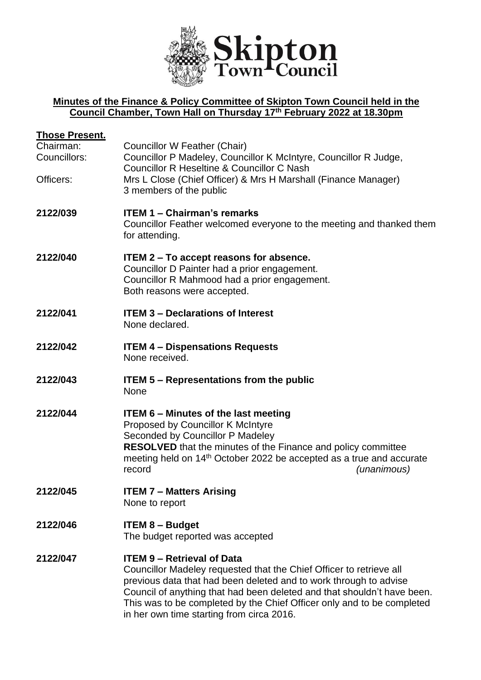

## **Minutes of the Finance & Policy Committee of Skipton Town Council held in the Council Chamber, Town Hall on Thursday 17th February 2022 at 18.30pm**

| <u> Those Present.</u>                 |                                                                                                                                                                                                                                                                                                                                                                                 |
|----------------------------------------|---------------------------------------------------------------------------------------------------------------------------------------------------------------------------------------------------------------------------------------------------------------------------------------------------------------------------------------------------------------------------------|
| Chairman:<br>Councillors:<br>Officers: | <b>Councillor W Feather (Chair)</b><br>Councillor P Madeley, Councillor K McIntyre, Councillor R Judge,<br><b>Councillor R Heseltine &amp; Councillor C Nash</b><br>Mrs L Close (Chief Officer) & Mrs H Marshall (Finance Manager)                                                                                                                                              |
|                                        | 3 members of the public                                                                                                                                                                                                                                                                                                                                                         |
| 2122/039                               | <b>ITEM 1 - Chairman's remarks</b><br>Councillor Feather welcomed everyone to the meeting and thanked them<br>for attending.                                                                                                                                                                                                                                                    |
| 2122/040                               | <b>ITEM 2 – To accept reasons for absence.</b><br>Councillor D Painter had a prior engagement.<br>Councillor R Mahmood had a prior engagement.<br>Both reasons were accepted.                                                                                                                                                                                                   |
| 2122/041                               | <b>ITEM 3 - Declarations of Interest</b><br>None declared.                                                                                                                                                                                                                                                                                                                      |
| 2122/042                               | <b>ITEM 4 - Dispensations Requests</b><br>None received.                                                                                                                                                                                                                                                                                                                        |
| 2122/043                               | <b>ITEM 5 – Representations from the public</b><br>None                                                                                                                                                                                                                                                                                                                         |
| 2122/044                               | <b>ITEM 6 - Minutes of the last meeting</b><br>Proposed by Councillor K McIntyre<br>Seconded by Councillor P Madeley<br><b>RESOLVED</b> that the minutes of the Finance and policy committee<br>meeting held on 14 <sup>th</sup> October 2022 be accepted as a true and accurate<br>record<br>(unanimous)                                                                       |
| 2122/045                               | <b>ITEM 7 - Matters Arising</b><br>None to report                                                                                                                                                                                                                                                                                                                               |
| 2122/046                               | <b>ITEM 8 - Budget</b><br>The budget reported was accepted                                                                                                                                                                                                                                                                                                                      |
| 2122/047                               | <b>ITEM 9 - Retrieval of Data</b><br>Councillor Madeley requested that the Chief Officer to retrieve all<br>previous data that had been deleted and to work through to advise<br>Council of anything that had been deleted and that shouldn't have been.<br>This was to be completed by the Chief Officer only and to be completed<br>in her own time starting from circa 2016. |